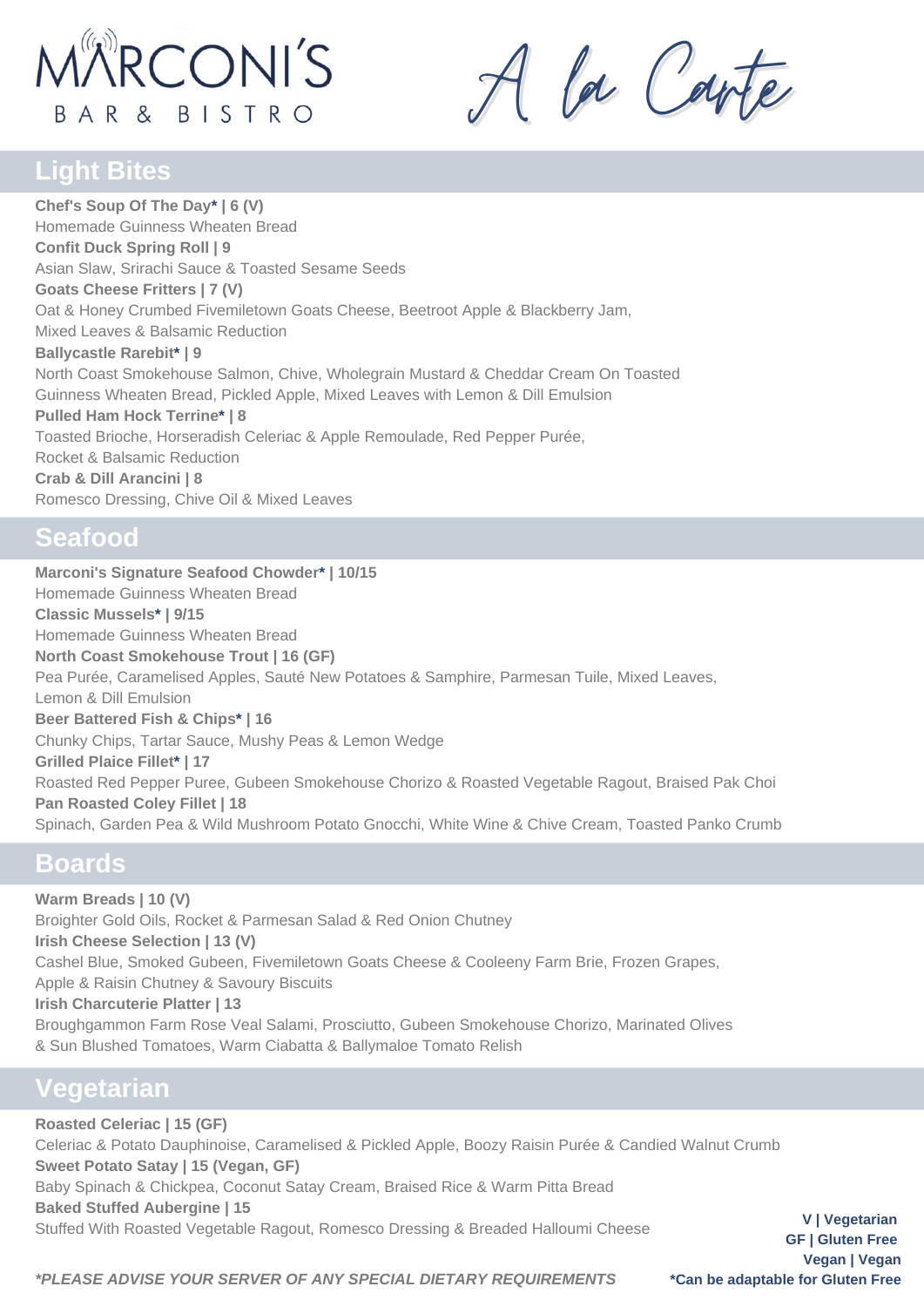# **MARCONI'S** BAR & BISTRO

A la Carte

# **Light Bites**

**Chef's Soup Of The Day\* | 6 (V)** Homemade Guinness Wheaten Bread **Confit Duck Spring Roll | 9** Asian Slaw, Srirachi Sauce & Toasted Sesame Seeds **Goats Cheese Fritters | 7 (V)** Oat & Honey Crumbed Fivemiletown Goats Cheese, Beetroot Apple & Blackberry Jam, Mixed Leaves & Balsamic Reduction **Ballycastle Rarebit\* | 9** North Coast Smokehouse Salmon, Chive, Wholegrain Mustard & Cheddar Cream On Toasted Guinness Wheaten Bread, Pickled Apple, Mixed Leaves with Lemon & Dill Emulsion **Pulled Ham Hock Terrine\* | 8** Toasted Brioche, Horseradish Celeriac & Apple Remoulade, Red Pepper Purée, Rocket & Balsamic Reduction **Crab & Dill Arancini | 8** Romesco Dressing, Chive Oil & Mixed Leaves

### **Seafood**

**Marconi's Signature Seafood Chowder\* | 10/15** Homemade Guinness Wheaten Bread **Classic Mussels\* | 9/15** Homemade Guinness Wheaten Bread **North Coast Smokehouse Trout | 16 (GF)** Pea Purée, Caramelised Apples, Sauté New Potatoes & Samphire, Parmesan Tuile, Mixed Leaves, Lemon & Dill Emulsion **Beer Battered Fish & Chips\* | 16** Chunky Chips, Tartar Sauce, Mushy Peas & Lemon Wedge **Grilled Plaice Fillet\* | 17** Roasted Red Pepper Puree, Gubeen Smokehouse Chorizo & Roasted Vegetable Ragout, Braised Pak Choi **Pan Roasted Coley Fillet | 18** Spinach, Garden Pea & Wild Mushroom Potato Gnocchi, White Wine & Chive Cream, Toasted Panko Crumb

# **Boards**

**Warm Breads | 10 (V)** Broighter Gold Oils, Rocket & Parmesan Salad & Red Onion Chutney **Irish Cheese Selection | 13 (V)** Cashel Blue, Smoked Gubeen, Fivemiletown Goats Cheese & Cooleeny Farm Brie, Frozen Grapes, Apple & Raisin Chutney & Savoury Biscuits **Irish Charcuterie Platter | 13** Broughgammon Farm Rose Veal Salami, Prosciutto, Gubeen Smokehouse Chorizo, Marinated Olives & Sun Blushed Tomatoes, Warm Ciabatta & Ballymaloe Tomato Relish

# **Vegetarian**

**Roasted Celeriac | 15 (GF)** Celeriac & Potato Dauphinoise, Caramelised & Pickled Apple, Boozy Raisin Purée & Candied Walnut Crumb **Sweet Potato Satay | 15 (Vegan, GF)** Baby Spinach & Chickpea, Coconut Satay Cream, Braised Rice & Warm Pitta Bread **Baked Stuffed Aubergine | 15** Stuffed With Roasted Vegetable Ragout, Romesco Dressing & Breaded Halloumi Cheese

**V | Vegetarian GF | Gluten Free Vegan | Vegan**

*\*PLEASE ADVISE YOUR SERVER OF ANY SPECIAL DIETARY REQUIREMENTS* **\*Can be adaptable for Gluten Free**